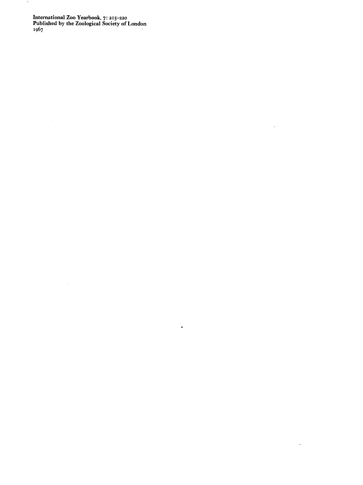**International Zoo Yearbook, 7: 215-220 Published by the Zoological Society of London 1967** 

 $\sim 10^6$ 

 $\langle \cdot \rangle$ 

 $\mathcal{L}^{\pm}$ 

 $\omega$ 

 $\tilde{\mathbf{x}}$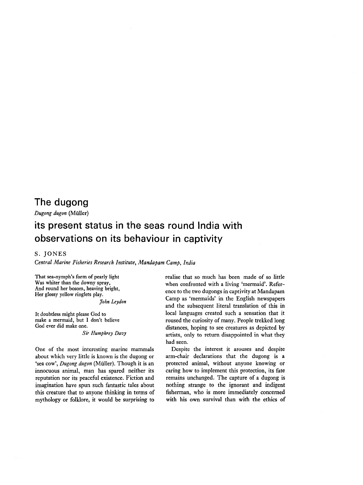## The dugong

Dugong dugon (Miiller)

# its present status in the seas round India with observations on its behaviour in captivity

## S. JONES

Central Marine Fisheries Research Institute, Mandapam Camp, India

That sea-nymph's form of pearly light Was whiter than the downy spray, And round her bosom, heaving bright, Her glossy yellow ringlets play.

John Leydon

It doubtless might please God to make a mermaid, but I don't believe God ever did make one.

#### **Sir** Humphrey Davy

One of the most interesting marine mammals about which very little is known is the dugong or 'sea cow', Dugong dugon (Müller). Though it is an innocuous animal, man has spared neither its reputation nor its peaceful existence. Fiction and imagination have spun such fantastic tales about this creature that to anyone thinking in terms of mythology or folklore, it would be surprising to realise that so much has been made of so little when confronted with a living 'mermaid'. Reference to the two dugongs in captivity at Mandapam Camp as 'mermaids' in the English newspapers and the subsequent literal translation of this in local languages created such a sensation that it roused the curiosity of many. People trekked long distances, hoping to see creatures as depicted by artists, only to return disappointed in what they had seen.

Despite the interest it arouses and despite arm-chair declarations that the dugong is a protected animal, without anyone knowing or caring how to implement this protection, its fate remains unchanged. The capture of a dugong is nothing strange to the ignorant and indigent fisherman, who is more immediately concerned with his own survival than with the ethics of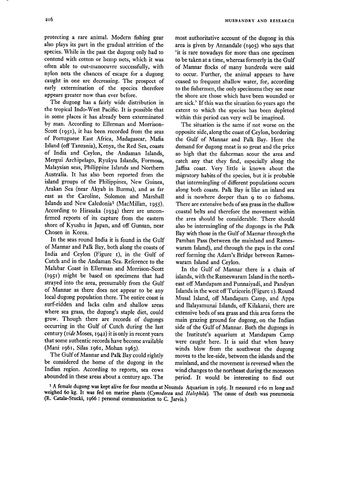protecting a rare animal. Modern fishing gear also plays its part in the gradual attrition of the species. While in the past the dugong only had to contend with cotton or hemp nets, which it was often able to out-manoeuvre successfully, with nylon nets the chances of escape for a dugong caught in one are decreasing. The prospect of early extermination of the species therefore appears greater now than ever before.

The dugong has a fairly wide distribution in the tropical Indo-West Pacific. It is possible that in some places it has already been exterminated by man. According to Ellerman and Morrison-Scott (1951), it has been recorded from the seas of Portuguese East Africa, Madagascar, Mafia Island (off Tanzania), Kenya, the Red Sea, coasts of India and Ceylon, the Andaman Islands, Mergui Archipelago, Ryukyu Islands, Formosa, Malaysian seas, Philippine Islands and Northern Australia. It has also been reported from the island groups of the Philippines, New Guinea, Arakan Sea (near Akyab in Burma), and as far east as the Caroline, Solomon and Marshall Islands and New Caledonia<sup>1</sup> (MacMillan, 1955). According to Hirasaka (1934) there are unconfirmed reports of its capture from the eastern shore of Kyushu in Japan, and off Gunsan, near Chosen in Korea.

In the seas round India it is found in the Gulf of Mannar and Palk Bay, both along the coasts of India and Ceylon (Figure 1), in the Gulf of Cutch and in the Andaman Sea. Reference to the Malabar Coast in Ellerman and Morrison-Scott (1951) might be based on specimens that had strayed into the area, presumably from the Gulf of Mannar as there does not appear to be any local dugong population there. The entire coast is surf-ridden and lacks calm and shallow areas where sea grass, the dugong's staple diet, could grow. Though there are records of dugongs occurring in the Gulf of Cutch during the last century (vide Moses, 1942) it is only in recent years that some authentic records have become available (Mani 1961, Silas 1961, Mohan 1963).

The Gulf of Mannar and Palk Bay could rightly be considered the home of the dugong in the Indian region. According to reports, sea cows abounded in these areas about a century ago. The most authoritative account of the dugong in this area is given by Annandale (1905) who says that 'it is rare nowadays for more than one specimen to be taken at a time, whereas formerly in the Gulf of Mannar flocks of many hundreds were said to occur. Further, the animal appears to have ceased to frequent shallow water, for, according to the fishermen, the only specimens they see near the shore are those which have been wounded or are sick.' If this was the situation 60 years ago the extent to which the species has been depleted within this period can very well be imagined.

The situation is the same if not worse on the opposite side, along the coast of Ceylon, bordering the Gulf of Mannar and Palk Bay. Here the demand for dugong meat is so great and the price so high that the fisherman scour the area and catch any that they find, especially along the Jaffna coast. Very little is known about the migratory habits of the species, but it is probable that intermingling of different populations occurs along both coasts. Palk Bay is like an inland sea and is nowhere deeper than o to 10 fathoms. There are extensive beds of sea grass in the shallow coastal belts and therefore the movement within the area should be considerable. There should also be intermingling of the dugongs in the Palk Bay with those in the Gulf of Mannar through the Pamban Pass (between the mainland and Rameswaram Island), and through the gaps in the coral reef forming the Adam's Bridge between Rameswaram Island and Ceylon.

In the Gulf of Mannar there is a chain of islands, with the Rameswaram Island in the northeast off Mandapam and Punnaiyadi, and Pandvan Islands in the west off Tuticorin (Figure 1). Round Musal Island, off Mandapam Camp, and Appa and Balayamunai Islands, off Kilakarai, there are extensive beds of sea grass and this area forms the main grazing ground for dugong, on the Indian side of the Gulf of Mannar. Both the dugongs in the Institute's aquarium at Mandapam Camp were caught here. It is said that when heavy winds blow from the southwest the dugong moves to the lee-side, between the islands and the mainland, and the movement is reversed when the wind changes to the northeast during the monsoon period. It would be interesting to find out

<sup>&</sup>lt;sup>1</sup> A female dugong was kept alive for four months at Nouméa Aquarium in 1965. It measured 1.60 m long and weighed 60 kg. It was fed on marine plants (Cymodocea and Halophila). The cause of death was pneumonia (R. Catala-Stucki, 1966 : personal communication to C. Jarvis.)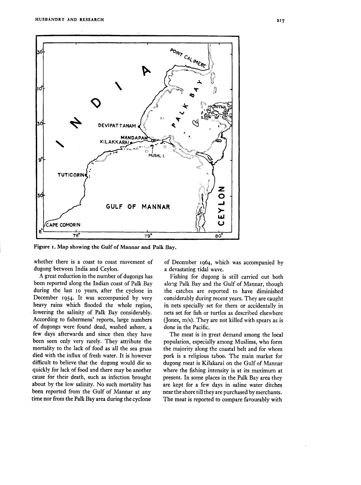

Figure 1. Map showing the Gulf of Mannar and Palk Bay.

whether there is a coast to coast movement of dugong between India and Ceylon.

A great reduction in the number of dugongs has been reported along the Indian coast of Palk Bay during the last 10 years, after the cyclone in December 1954. It was accompanied by very heavy rains which flooded the whole region, lowering the salinity of Palk Bay considerably. According to fishermens' reports, large numbers of dugongs were found dead, washed ashore, a few days afterwards and since then they have been seen only very rarely. They attribute the mortality to the lack of food as all the sea grass died with the influx of fresh water. It is however difficult to believe that the dugong would die so quickly for lack of food and there may be another cause for their death, such as infection brought about by the low salinity. No such mortality has been reported from the Gulf of Mannar at any time nor from the Palk Bay area during the cyclone

of December 1964, which was accompanied by a devastating tidal wave.

Fishing for dugong is still carried out both along Palk Bay and the Gulf of Mannar, though the catches are reported to have diminished considerably during recent years. They are caught in nets specially set for them or accidentally in nets set for fish or turtles as described elsewhere (Jones,  $m/s$ ). They are not killed with spears as is done in the Pacific.

The meat is in great demand among the local population, especially among Muslims, who form the majority along the coastal belt and for whom pork is a religious taboo. The main market for dugong meat is Kilakarai on the Gulf of Mannar where the fishing intensity is at its maximum at present. In some places in the Palk Bay area they are kept for a few days in saline water ditches near the shore till they are purchased by merchants. The meat is reported to compare favourably with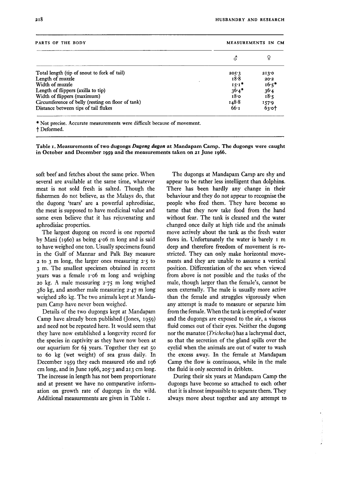| PARTS OF THE BODY                                 | MEASUREMENTS IN CM |         |
|---------------------------------------------------|--------------------|---------|
|                                                   | δ                  |         |
| Total length (tip of snout to fork of tail)       | 205.3              | 2130    |
| Length of muzzle                                  | 18.8               | 20.2    |
| Width of muzzle                                   | $15.1*$            | $16.5*$ |
| Length of flippers (axilla to tip)                | $36.4*$            | 36.4    |
| Width of flippers (maximum)                       | 18.0               | 18.5    |
| Circumference of belly (resting on floor of tank) | 148.8              | 157.9   |
| Distance between tips of tail flukes              | 66.1               | 63.01   |

\* Not precise. Accurate measurements were difficult because of movement. † Deformed.

Table 1. Measurements of two dugongs Dugong dugon at Mandapam Camp. The dugongs were caught in October and December 1959 and the measurements taken on 21 June 1966.

soft beef and fetches about the same price. When several are available at the same time, whatever meat is not sold fresh is salted. Though the fishermen do not believe, as the Malays do, that the dugong 'tears' are a powerful aphrodisiac, the meat is supposed to have medicinal value and some even believe that it has rejuvenating and aphrodisiac properties.

The largest dugong on record is one reported by Mani (1060) as being  $\angle 4$  of m long and is said to have weighed one ton. Usually specimens found in the Gulf of Mannar and Palk Bay measure  $2$  to 3 m long, the larger ones measuring  $2.5$  to 3 m. The smallest specimen obtained in recent years was a female 1.06 m long and weighing 20 kg. A male measuring 2.75 m long weighed  $380 \text{ kg}$ , and another male measuring  $2.47 \text{ m}$  long weighed 280 kg. The two animals kept at Mandapam Camp have never been weighed.

Details of the two dugongs kept at Mandapam Camp have already been published (Jones, 1959) and need not be repeated here. It would seem that they have now established a longevity record for the species in captivity as they have now been at our aquarium for  $6\frac{1}{2}$  years. Together they eat 50 to 60 kg (wet weight) of sea grass daily. In December 1959 they each measured 160 and 196 cm long, and in June 1966, 205.3 and 213 cm long. The increase in length has not been proportionate and at present we have no comparative information on growth rate of dugongs in the wild. Additional measurements are given in Table 1.

The dugongs at Mandapam Camp are shy and appear to be rather less intelligent than dolphins. There has been hardly any change in their behaviour and they do not appear to recognise the people who feed them. They have become so tame that they now take food from the hand without fear. The tank is cleaned and the water changed once daily at high tide and the animals move actively about the tank as the fresh water flows in. Unfortunately the water is barely 1 m deep and therefore freedom of movement is restricted. They can only make horizontal movements and they are unable to assume a vertical position. Differentiation of the sex when viewed from above is not possible and the tusks of the male, though larger than the female's, cannot be seen externally. The male is usually more active than the female and struggles vigorously when any attempt is made to measure or separate him from the female. When the tank is emptied of water and the dugongs are exposed to the air, a viscous fluid comes out of their eyes. Neither the dugong nor the manatee (*Trichechus*) has a lachrymal duct, so that the secretion of the gland spills over the eyelid when the animals are out of water to wash the excess away. In the female at Mandapam Camp the flow is continuous, while in the male the fluid is only secreted in driblets.

During their six years at Mandapam Camp the dugongs have become so attached to each other that it is almost impossible to separate them. They always move about together and any attempt to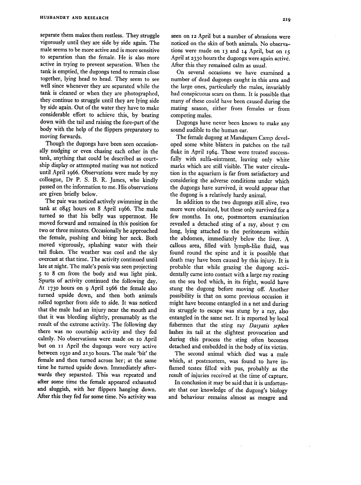separate them makes them restless. They struggle vigorously until they are side by side again. The male seems to be more active and is more sensitive to separation than the female. He is also more active in trying to prevent separation. When the tank is emptied, the dugongs tend to remain close together, lying head to head. They seem to see well since whenever they are separated while the tank is cleaned or when they are photographed, they continue to struggle until they are lying side by side again. Out of the water they have to make considerable effort to achieve this, by beating down with the tail and raising the fore-part of the body with the help of the flippers preparatory to moving forwards.

Though the dugongs have been seen occasionally nudging or even chasing each other in the tank, anything that could be described as courtship display or attempted mating was not noticed until April 1966. Observations were made by my colleague, Dr P. S. B. R. James, who kindly passed on the information to me. His observations are given briefly below.

The pair was noticed actively swimming in the tank at 0845 hours on 8 April 1966. The male turned so that his belly was uppermost. He moved forward and remained in this position for two or three minutes. Occasionally he approached the female, pushing and biting her neck. Both moved vigorously, splashing water with their tail flukes. The weather was cool and the sky overcast at that time. The activity continued until late at night. The male's penis was seen projecting 5 to 8 cm from the body and was light pink. Spurts of activity continued the following day. At 1730 hours on 9 April 1966 the female also turned upside down, and then both animals rolled together from side to side. It was noticed that the male had an injury near the mouth and that it was bleeding slightly, presumably as the result of the extreme activity. The following day there was no courtship activity and they fed calmly. No observations were made on 10 April but on 11 April the dugongs were very active between 1930 and 2130 hours. The male 'bit' the female and then turned across her; at the same time he turned upside down. Immediately afterwards they separated. This was repeated and after some time the female appeared exhausted and sluggish, with her flippers hanging down. After this they fed for some time. No activity was

seen on 12 April but a number of abrasions were noticed on the skin of both animals. No observations were made on 13 and 14 April, but on 15 April at 2330 hours the dugongs were again active. After this they remained calm as usual.

On several occasions we have examined a number of dead dugongs caught in this area and the large ones, particularly the males, invariably had conspicuous scars on them. It is possible that many of these could have been caused during the mating season, either from females or from competing males.

Dugongs have never been known to make any sound audible to the human ear.

The female dugong at Mandapam Camp developed some white blisters in patches on the tail fluke in April 1964. These were treated successfully with sulfa-ointment, leaving only white marks which are still visible. The water circulation in the aquarium is far from satisfactory and considering the adverse conditions under which the dugongs have survived, it would appear that the dugong is a relatively hardy animal.

In addition to the two dugongs still alive, two more were obtained, but these only survived for a few months. In one, postmortem examination revealed a detached sting of a ray, about 7 cm long, lying attached to the peritoneum within the abdomen, immediately below the liver. A callous area, filled with lymph-like fluid, was found round the spine and it is possible that death may have been caused by this injury. It is probable that while grazing the dugong accidentally came into contact with a large ray resting on the sea bed which, in its fright, would have stung the dugong before moving off. Another possibility is that on some previous occasion it might have become entangled in a net and during its struggle to escape was stung by a ray, also entangled in the same net. It is reported by local fishermen that the sting ray Dasyatis sephen lashes its tail at the slightest provocation and during this process the sting often becomes detached and embedded in the body of its victim.

The second animal which died was a male which, at postmortem, was found to have inflamed testes filled with pus, probably as the result of injuries received at the time of capture.

In conclusion it may be said that it is unfortunate that our knowledge of the dugong's biology and behaviour remains almost as meagre and